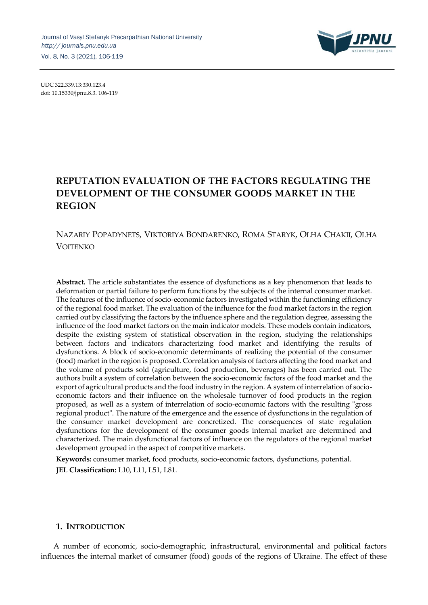

UDC 322.339.13:330.123.4 doi: 10.15330/jpnu.8.3. 106-119

# **REPUTATION EVALUATION OF THE FACTORS REGULATING THE DEVELOPMENT OF THE CONSUMER GOODS MARKET IN THE REGION**

## NAZARIY POPADYNETS, VIKTORIYA BONDARENKO, ROMA STARYK, OLHA CHAKII, OLHA VOITENKO

**Abstract.** The article substantiates the essence of dysfunctions as a key phenomenon that leads to deformation or partial failure to perform functions by the subjects of the internal consumer market. The features of the influence of socio-economic factors investigated within the functioning efficiency of the regional food market. The evaluation of the influence for the food market factors in the region carried out by classifying the factors by the influence sphere and the regulation degree, assessing the influence of the food market factors on the main indicator models. These models contain indicators, despite the existing system of statistical observation in the region, studying the relationships between factors and indicators characterizing food market and identifying the results of dysfunctions. A block of socio-economic determinants of realizing the potential of the consumer (food) market in the region is proposed. Correlation analysis of factors affecting the food market and the volume of products sold (agriculture, food production, beverages) has been carried out. The authors built a system of correlation between the socio-economic factors of the food market and the export of agricultural products and the food industry in the region. A system of interrelation of socioeconomic factors and their influence on the wholesale turnover of food products in the region proposed, as well as a system of interrelation of socio-economic factors with the resulting "gross regional product". The nature of the emergence and the essence of dysfunctions in the regulation of the consumer market development are concretized. The consequences of state regulation dysfunctions for the development of the consumer goods internal market are determined and characterized. The main dysfunctional factors of influence on the regulators of the regional market development grouped in the aspect of competitive markets.

**Keywords:** consumer market, food products, socio-economic factors, dysfunctions, potential. **JEL Classification:** L10, L11, L51, L81.

#### **1. INTRODUCTION**

A number of economic, socio-demographic, infrastructural, environmental and political factors influences the internal market of consumer (food) goods of the regions of Ukraine. The effect of these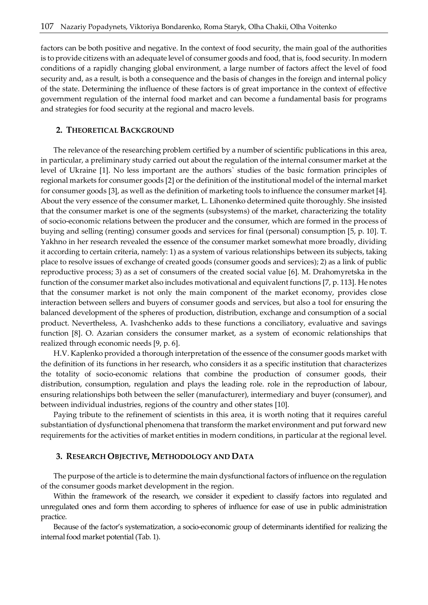factors can be both positive and negative. In the context of food security, the main goal of the authorities is to provide citizens with an adequate level of consumer goods and food, that is, food security. In modern conditions of a rapidly changing global environment, a large number of factors affect the level of food security and, as a result, is both a consequence and the basis of changes in the foreign and internal policy of the state. Determining the influence of these factors is of great importance in the context of effective government regulation of the internal food market and can become a fundamental basis for programs and strategies for food security at the regional and macro levels.

#### **2. THEORETICAL BACKGROUND**

The relevance of the researching problem certified by a number of scientific publications in this area, in particular, a preliminary study carried out about the regulation of the internal consumer market at the level of Ukraine [1]. No less important are the authors` studies of the basic formation principles of regional markets for consumer goods [2] or the definition of the institutional model of the internal market for consumer goods [3], as well as the definition of marketing tools to influence the consumer market [4]. About the very essence of the consumer market, L. Lihonenko determined quite thoroughly. She insisted that the consumer market is one of the segments (subsystems) of the market, characterizing the totality of socio-economic relations between the producer and the consumer, which are formed in the process of buying and selling (renting) consumer goods and services for final (personal) consumption [5, p. 10]. T. Yakhno in her research revealed the essence of the consumer market somewhat more broadly, dividing it according to certain criteria, namely: 1) as a system of various relationships between its subjects, taking place to resolve issues of exchange of created goods (consumer goods and services); 2) as a link of public reproductive process; 3) as a set of consumers of the created social value [6]. M. Drahomyretska in the function of the consumer market also includes motivational and equivalent functions [7, p. 113]. He notes that the consumer market is not only the main component of the market economy, provides close interaction between sellers and buyers of consumer goods and services, but also a tool for ensuring the balanced development of the spheres of production, distribution, exchange and consumption of a social product. Nevertheless, A. Ivashchenko adds to these functions a conciliatory, evaluative and savings function [8]. O. Azarian considers the consumer market, as a system of economic relationships that realized through economic needs [9, p. 6].

H.V. Kaplenko provided a thorough interpretation of the essence of the consumer goods market with the definition of its functions in her research, who considers it as a specific institution that characterizes the totality of socio-economic relations that combine the production of consumer goods, their distribution, consumption, regulation and plays the leading role. role in the reproduction of labour, ensuring relationships both between the seller (manufacturer), intermediary and buyer (consumer), and between individual industries, regions of the country and other states [10].

Paying tribute to the refinement of scientists in this area, it is worth noting that it requires careful substantiation of dysfunctional phenomena that transform the market environment and put forward new requirements for the activities of market entities in modern conditions, in particular at the regional level.

#### **3. RESEARCH OBJECTIVE, METHODOLOGY AND DATA**

The purpose of the article is to determine the main dysfunctional factors of influence on the regulation of the consumer goods market development in the region.

Within the framework of the research, we consider it expedient to classify factors into regulated and unregulated ones and form them according to spheres of influence for ease of use in public administration practice.

Because of the factor's systematization, a socio-economic group of determinants identified for realizing the internal food market potential (Tab. 1).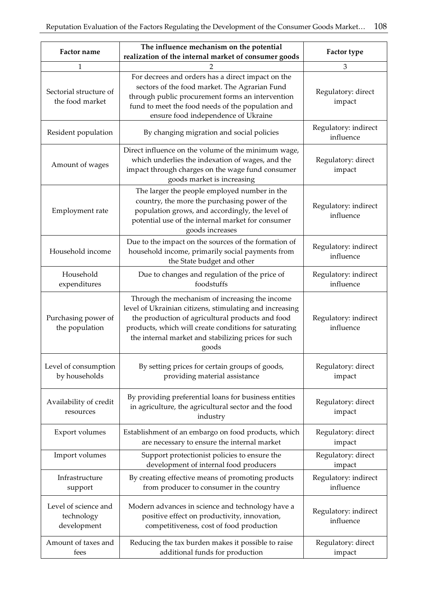| Factor name                                       | The influence mechanism on the potential<br>realization of the internal market of consumer goods                                                                                                                                                                                       | Factor type                       |  |
|---------------------------------------------------|----------------------------------------------------------------------------------------------------------------------------------------------------------------------------------------------------------------------------------------------------------------------------------------|-----------------------------------|--|
| 1                                                 |                                                                                                                                                                                                                                                                                        | 3                                 |  |
| Sectorial structure of<br>the food market         | For decrees and orders has a direct impact on the<br>sectors of the food market. The Agrarian Fund<br>through public procurement forms an intervention<br>fund to meet the food needs of the population and<br>ensure food independence of Ukraine                                     | Regulatory: direct<br>impact      |  |
| Resident population                               | By changing migration and social policies                                                                                                                                                                                                                                              | Regulatory: indirect<br>influence |  |
| Amount of wages                                   | Direct influence on the volume of the minimum wage,<br>which underlies the indexation of wages, and the<br>impact through charges on the wage fund consumer<br>goods market is increasing                                                                                              | Regulatory: direct<br>impact      |  |
| Employment rate                                   | The larger the people employed number in the<br>country, the more the purchasing power of the<br>population grows, and accordingly, the level of<br>potential use of the internal market for consumer<br>goods increases                                                               | Regulatory: indirect<br>influence |  |
| Household income                                  | Due to the impact on the sources of the formation of<br>household income, primarily social payments from<br>the State budget and other                                                                                                                                                 | Regulatory: indirect<br>influence |  |
| Household<br>expenditures                         | Due to changes and regulation of the price of<br>foodstuffs                                                                                                                                                                                                                            | Regulatory: indirect<br>influence |  |
| Purchasing power of<br>the population             | Through the mechanism of increasing the income<br>level of Ukrainian citizens, stimulating and increasing<br>the production of agricultural products and food<br>products, which will create conditions for saturating<br>the internal market and stabilizing prices for such<br>goods | Regulatory: indirect<br>influence |  |
| Level of consumption<br>by households             | By setting prices for certain groups of goods,<br>providing material assistance                                                                                                                                                                                                        | Regulatory: direct<br>impact      |  |
| Availability of credit<br>resources               | By providing preferential loans for business entities<br>in agriculture, the agricultural sector and the food<br>industry                                                                                                                                                              | Regulatory: direct<br>impact      |  |
| Export volumes                                    | Establishment of an embargo on food products, which<br>are necessary to ensure the internal market                                                                                                                                                                                     | Regulatory: direct<br>impact      |  |
| Import volumes                                    | Support protectionist policies to ensure the<br>development of internal food producers                                                                                                                                                                                                 | Regulatory: direct<br>impact      |  |
| Infrastructure<br>support                         | By creating effective means of promoting products<br>from producer to consumer in the country                                                                                                                                                                                          | Regulatory: indirect<br>influence |  |
| Level of science and<br>technology<br>development | Modern advances in science and technology have a<br>positive effect on productivity, innovation,<br>competitiveness, cost of food production                                                                                                                                           | Regulatory: indirect<br>influence |  |
| Amount of taxes and<br>fees                       | Reducing the tax burden makes it possible to raise<br>additional funds for production                                                                                                                                                                                                  | Regulatory: direct<br>impact      |  |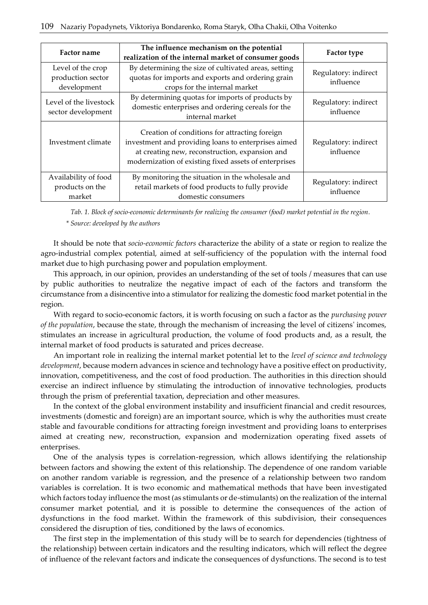| <b>Factor name</b>                                    | The influence mechanism on the potential<br>realization of the internal market of consumer goods                                                                                                                | <b>Factor type</b>                |
|-------------------------------------------------------|-----------------------------------------------------------------------------------------------------------------------------------------------------------------------------------------------------------------|-----------------------------------|
| Level of the crop<br>production sector<br>development | By determining the size of cultivated areas, setting<br>quotas for imports and exports and ordering grain<br>crops for the internal market                                                                      | Regulatory: indirect<br>influence |
| Level of the livestock<br>sector development          | By determining quotas for imports of products by<br>domestic enterprises and ordering cereals for the<br>internal market                                                                                        | Regulatory: indirect<br>influence |
| Investment climate                                    | Creation of conditions for attracting foreign<br>investment and providing loans to enterprises aimed<br>at creating new, reconstruction, expansion and<br>modernization of existing fixed assets of enterprises | Regulatory: indirect<br>influence |
| Availability of food<br>products on the<br>market     | By monitoring the situation in the wholesale and<br>retail markets of food products to fully provide<br>domestic consumers                                                                                      | Regulatory: indirect<br>influence |

*Tab. 1. Block of socio-economic determinants for realizing the consumer (food) market potential in the region. \* Source: developed by the authors*

It should be note that *socio-economic factors* characterize the ability of a state or region to realize the agro-industrial complex potential, aimed at self-sufficiency of the population with the internal food market due to high purchasing power and population employment.

This approach, in our opinion, provides an understanding of the set of tools / measures that can use by public authorities to neutralize the negative impact of each of the factors and transform the circumstance from a disincentive into a stimulator for realizing the domestic food market potential in the region.

With regard to socio-economic factors, it is worth focusing on such a factor as the *purchasing power of the population*, because the state, through the mechanism of increasing the level of citizens' incomes, stimulates an increase in agricultural production, the volume of food products and, as a result, the internal market of food products is saturated and prices decrease.

An important role in realizing the internal market potential let to the *level of science and technology development*, because modern advances in science and technology have a positive effect on productivity, innovation, competitiveness, and the cost of food production. The authorities in this direction should exercise an indirect influence by stimulating the introduction of innovative technologies, products through the prism of preferential taxation, depreciation and other measures.

In the context of the global environment instability and insufficient financial and credit resources, investments (domestic and foreign) are an important source, which is why the authorities must create stable and favourable conditions for attracting foreign investment and providing loans to enterprises aimed at creating new, reconstruction, expansion and modernization operating fixed assets of enterprises.

One of the analysis types is correlation-regression, which allows identifying the relationship between factors and showing the extent of this relationship. The dependence of one random variable on another random variable is regression, and the presence of a relationship between two random variables is correlation. It is two economic and mathematical methods that have been investigated which factors today influence the most (as stimulants or de-stimulants) on the realization of the internal consumer market potential, and it is possible to determine the consequences of the action of dysfunctions in the food market. Within the framework of this subdivision, their consequences considered the disruption of ties, conditioned by the laws of economics.

The first step in the implementation of this study will be to search for dependencies (tightness of the relationship) between certain indicators and the resulting indicators, which will reflect the degree of influence of the relevant factors and indicate the consequences of dysfunctions. The second is to test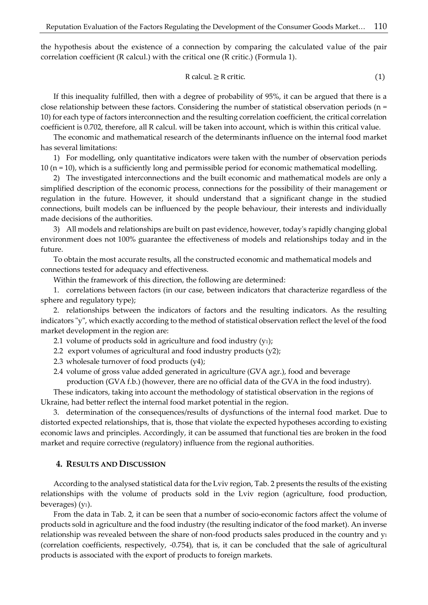the hypothesis about the existence of a connection by comparing the calculated value of the pair correlation coefficient (R calcul.) with the critical one (R critic.) (Formula 1).

$$
R \text{ calcul.} \ge R \text{ critic.} \tag{1}
$$

If this inequality fulfilled, then with a degree of probability of 95%, it can be argued that there is a close relationship between these factors. Considering the number of statistical observation periods ( $n =$ 10) for each type of factors interconnection and the resulting correlation coefficient, the critical correlation coefficient is 0.702, therefore, all R calcul. will be taken into account, which is within this critical value.

The economic and mathematical research of the determinants influence on the internal food market has several limitations:

1) For modelling, only quantitative indicators were taken with the number of observation periods 10 (n = 10), which is a sufficiently long and permissible period for economic mathematical modelling.

2) The investigated interconnections and the built economic and mathematical models are only a simplified description of the economic process, connections for the possibility of their management or regulation in the future. However, it should understand that a significant change in the studied connections, built models can be influenced by the people behaviour, their interests and individually made decisions of the authorities.

3) All models and relationships are built on past evidence, however, today's rapidly changing global environment does not 100% guarantee the effectiveness of models and relationships today and in the future.

To obtain the most accurate results, all the constructed economic and mathematical models and connections tested for adequacy and effectiveness.

Within the framework of this direction, the following are determined:

1. correlations between factors (in our case, between indicators that characterize regardless of the sphere and regulatory type);

2. relationships between the indicators of factors and the resulting indicators. As the resulting indicators "y", which exactly according to the method of statistical observation reflect the level of the food market development in the region are:

- 2.1 volume of products sold in agriculture and food industry (y<sub>1</sub>);
- 2.2 export volumes of agricultural and food industry products (y2);
- 2.3 wholesale turnover of food products (у4);
- 2.4 volume of gross value added generated in agriculture (GVA agr.), food and beverage

production (GVA f.b.) (however, there are no official data of the GVA in the food industry).

These indicators, taking into account the methodology of statistical observation in the regions of Ukraine, had better reflect the internal food market potential in the region.

3. determination of the consequences/results of dysfunctions of the internal food market. Due to distorted expected relationships, that is, those that violate the expected hypotheses according to existing economic laws and principles. Accordingly, it can be assumed that functional ties are broken in the food market and require corrective (regulatory) influence from the regional authorities.

#### **4. RESULTS AND DISCUSSION**

According to the analysed statistical data for the Lviv region, Tab. 2 presents the results of the existing relationships with the volume of products sold in the Lviv region (agriculture, food production, beverages)  $(y_1)$ .

From the data in Tab. 2, it can be seen that a number of socio-economic factors affect the volume of products sold in agriculture and the food industry (the resulting indicator of the food market). An inverse relationship was revealed between the share of non-food products sales produced in the country and  $y_1$ (correlation coefficients, respectively, -0.754), that is, it can be concluded that the sale of agricultural products is associated with the export of products to foreign markets.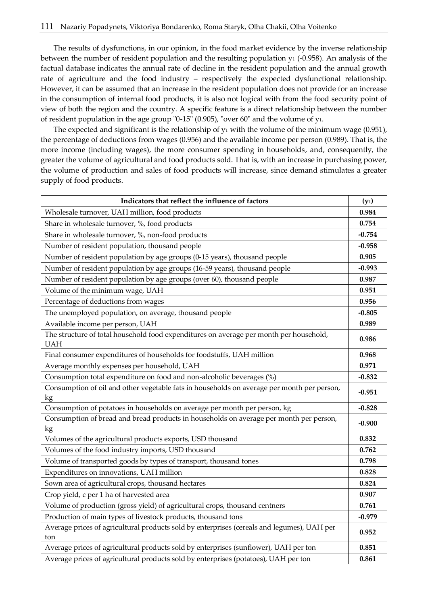The results of dysfunctions, in our opinion, in the food market evidence by the inverse relationship between the number of resident population and the resulting population  $y_1$  (-0.958). An analysis of the factual database indicates the annual rate of decline in the resident population and the annual growth rate of agriculture and the food industry – respectively the expected dysfunctional relationship. However, it can be assumed that an increase in the resident population does not provide for an increase in the consumption of internal food products, it is also not logical with from the food security point of view of both the region and the country. A specific feature is a direct relationship between the number of resident population in the age group "0-15" (0.905), "over 60" and the volume of у1.

The expected and significant is the relationship of  $y_1$  with the volume of the minimum wage (0.951), the percentage of deductions from wages (0.956) and the available income per person (0.989). That is, the more income (including wages), the more consumer spending in households, and, consequently, the greater the volume of agricultural and food products sold. That is, with an increase in purchasing power, the volume of production and sales of food products will increase, since demand stimulates a greater supply of food products.

| Indicators that reflect the influence of factors                                                     | $(y_1)$  |
|------------------------------------------------------------------------------------------------------|----------|
| Wholesale turnover, UAH million, food products                                                       | 0.984    |
| Share in wholesale turnover, %, food products                                                        | 0.754    |
| Share in wholesale turnover, %, non-food products                                                    | $-0.754$ |
| Number of resident population, thousand people                                                       | $-0.958$ |
| Number of resident population by age groups (0-15 years), thousand people                            | 0.905    |
| Number of resident population by age groups (16-59 years), thousand people                           | $-0.993$ |
| Number of resident population by age groups (over 60), thousand people                               | 0.987    |
| Volume of the minimum wage, UAH                                                                      | 0.951    |
| Percentage of deductions from wages                                                                  | 0.956    |
| The unemployed population, on average, thousand people                                               | $-0.805$ |
| Available income per person, UAH                                                                     | 0.989    |
| The structure of total household food expenditures on average per month per household,<br><b>UAH</b> | 0.986    |
| Final consumer expenditures of households for foodstuffs, UAH million                                | 0.968    |
| Average monthly expenses per household, UAH                                                          | 0.971    |
| Consumption total expenditure on food and non-alcoholic beverages (%)                                | $-0.832$ |
| Consumption of oil and other vegetable fats in households on average per month per person,<br>kg     | $-0.951$ |
| Consumption of potatoes in households on average per month per person, kg                            | $-0.828$ |
| Consumption of bread and bread products in households on average per month per person,<br>kg         | $-0.900$ |
| Volumes of the agricultural products exports, USD thousand                                           | 0.832    |
| Volumes of the food industry imports, USD thousand                                                   | 0.762    |
| Volume of transported goods by types of transport, thousand tones                                    | 0.798    |
| Expenditures on innovations, UAH million                                                             | 0.828    |
| Sown area of agricultural crops, thousand hectares                                                   | 0.824    |
| Crop yield, c per 1 ha of harvested area                                                             | 0.907    |
| Volume of production (gross yield) of agricultural crops, thousand centners                          | 0.761    |
| Production of main types of livestock products, thousand tons                                        | $-0.979$ |
| Average prices of agricultural products sold by enterprises (cereals and legumes), UAH per<br>ton    | 0.952    |
| Average prices of agricultural products sold by enterprises (sunflower), UAH per ton                 | 0.851    |
| Average prices of agricultural products sold by enterprises (potatoes), UAH per ton                  | 0.861    |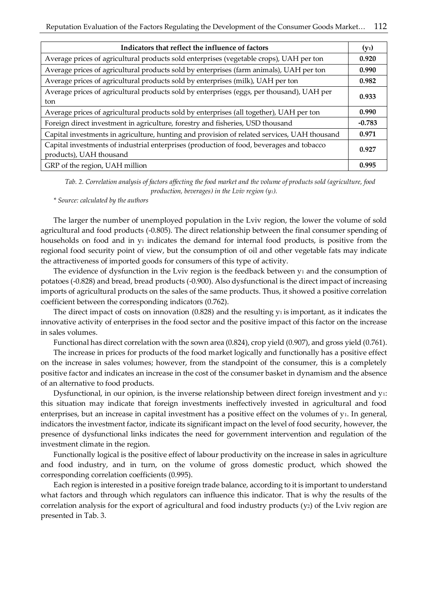| Indicators that reflect the influence of factors                                                                    | $(y_1)$  |
|---------------------------------------------------------------------------------------------------------------------|----------|
| Average prices of agricultural products sold enterprises (vegetable crops), UAH per ton                             | 0.920    |
| Average prices of agricultural products sold by enterprises (farm animals), UAH per ton                             | 0.990    |
| Average prices of agricultural products sold by enterprises (milk), UAH per ton                                     | 0.982    |
| Average prices of agricultural products sold by enterprises (eggs, per thousand), UAH per<br>ton                    | 0.933    |
| Average prices of agricultural products sold by enterprises (all together), UAH per ton                             | 0.990    |
| Foreign direct investment in agriculture, forestry and fisheries, USD thousand                                      | $-0.783$ |
| Capital investments in agriculture, hunting and provision of related services, UAH thousand                         | 0.971    |
| Capital investments of industrial enterprises (production of food, beverages and tobacco<br>products), UAH thousand | 0.927    |
| GRP of the region, UAH million                                                                                      | 0.995    |

*Tab. 2. Correlation analysis of factors affecting the food market and the volume of products sold (agriculture, food production, beverages) in the Lviv region (у1).*

*\* Source: сalculated by the authors* 

The larger the number of unemployed population in the Lviv region, the lower the volume of sold agricultural and food products (-0.805). The direct relationship between the final consumer spending of households on food and in  $y_1$  indicates the demand for internal food products, is positive from the regional food security point of view, but the consumption of oil and other vegetable fats may indicate the attractiveness of imported goods for consumers of this type of activity.

The evidence of dysfunction in the Lviv region is the feedback between  $y_1$  and the consumption of potatoes (-0.828) and bread, bread products (-0.900). Also dysfunctional is the direct impact of increasing imports of agricultural products on the sales of the same products. Thus, it showed a positive correlation coefficient between the corresponding indicators (0.762).

The direct impact of costs on innovation  $(0.828)$  and the resulting  $y_1$  is important, as it indicates the innovative activity of enterprises in the food sector and the positive impact of this factor on the increase in sales volumes.

Functional has direct correlation with the sown area (0.824), crop yield (0.907), and gross yield (0.761).

The increase in prices for products of the food market logically and functionally has a positive effect on the increase in sales volumes; however, from the standpoint of the consumer, this is a completely positive factor and indicates an increase in the cost of the consumer basket in dynamism and the absence of an alternative to food products.

Dysfunctional, in our opinion, is the inverse relationship between direct foreign investment and у1: this situation may indicate that foreign investments ineffectively invested in agricultural and food enterprises, but an increase in capital investment has a positive effect on the volumes of  $y_1$ . In general, indicators the investment factor, indicate its significant impact on the level of food security, however, the presence of dysfunctional links indicates the need for government intervention and regulation of the investment climate in the region.

Functionally logical is the positive effect of labour productivity on the increase in sales in agriculture and food industry, and in turn, on the volume of gross domestic product, which showed the corresponding correlation coefficients (0.995).

Each region is interested in a positive foreign trade balance, according to it is important to understand what factors and through which regulators can influence this indicator. That is why the results of the correlation analysis for the export of agricultural and food industry products  $(y_2)$  of the Lviv region are presented in Tab. 3.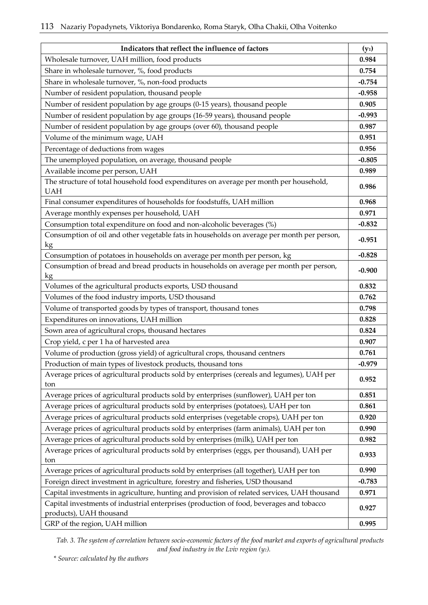| Indicators that reflect the influence of factors                                                                    | $(y_1)$  |
|---------------------------------------------------------------------------------------------------------------------|----------|
| Wholesale turnover, UAH million, food products                                                                      | 0.984    |
| Share in wholesale turnover, %, food products                                                                       | 0.754    |
| Share in wholesale turnover, %, non-food products                                                                   | $-0.754$ |
| Number of resident population, thousand people                                                                      | $-0.958$ |
| Number of resident population by age groups (0-15 years), thousand people                                           | 0.905    |
| Number of resident population by age groups (16-59 years), thousand people                                          | $-0.993$ |
| Number of resident population by age groups (over 60), thousand people                                              | 0.987    |
| Volume of the minimum wage, UAH                                                                                     | 0.951    |
| Percentage of deductions from wages                                                                                 | 0.956    |
| The unemployed population, on average, thousand people                                                              | $-0.805$ |
| Available income per person, UAH                                                                                    | 0.989    |
| The structure of total household food expenditures on average per month per household,<br><b>UAH</b>                | 0.986    |
| Final consumer expenditures of households for foodstuffs, UAH million                                               | 0.968    |
| Average monthly expenses per household, UAH                                                                         | 0.971    |
| Consumption total expenditure on food and non-alcoholic beverages (%)                                               | $-0.832$ |
| Consumption of oil and other vegetable fats in households on average per month per person,<br>kg                    | $-0.951$ |
| Consumption of potatoes in households on average per month per person, kg                                           | $-0.828$ |
| Consumption of bread and bread products in households on average per month per person,<br>kg                        | $-0.900$ |
| Volumes of the agricultural products exports, USD thousand                                                          | 0.832    |
| Volumes of the food industry imports, USD thousand                                                                  | 0.762    |
| Volume of transported goods by types of transport, thousand tones                                                   | 0.798    |
| Expenditures on innovations, UAH million                                                                            | 0.828    |
| Sown area of agricultural crops, thousand hectares                                                                  | 0.824    |
| Crop yield, c per 1 ha of harvested area                                                                            | 0.907    |
| Volume of production (gross yield) of agricultural crops, thousand centners                                         | 0.761    |
| Production of main types of livestock products, thousand tons                                                       | $-0.979$ |
| Average prices of agricultural products sold by enterprises (cereals and legumes), UAH per<br>ton                   | 0.952    |
| Average prices of agricultural products sold by enterprises (sunflower), UAH per ton                                | 0.851    |
| Average prices of agricultural products sold by enterprises (potatoes), UAH per ton                                 | 0.861    |
| Average prices of agricultural products sold enterprises (vegetable crops), UAH per ton                             | 0.920    |
| Average prices of agricultural products sold by enterprises (farm animals), UAH per ton                             | 0.990    |
| Average prices of agricultural products sold by enterprises (milk), UAH per ton                                     | 0.982    |
| Average prices of agricultural products sold by enterprises (eggs, per thousand), UAH per<br>ton                    | 0.933    |
| Average prices of agricultural products sold by enterprises (all together), UAH per ton                             | 0.990    |
| Foreign direct investment in agriculture, forestry and fisheries, USD thousand                                      | $-0.783$ |
| Capital investments in agriculture, hunting and provision of related services, UAH thousand                         | 0.971    |
| Capital investments of industrial enterprises (production of food, beverages and tobacco<br>products), UAH thousand | 0.927    |
| GRP of the region, UAH million                                                                                      | 0.995    |

*Tab. 3. The system of correlation between socio-economic factors of the food market and exports of agricultural products and food industry in the Lviv region (у2).*

*\* Source: сalculated by the authors*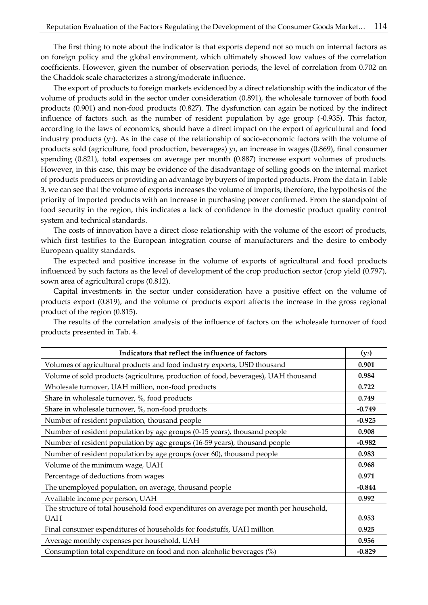The first thing to note about the indicator is that exports depend not so much on internal factors as on foreign policy and the global environment, which ultimately showed low values of the correlation coefficients. However, given the number of observation periods, the level of correlation from 0.702 on the Chaddok scale characterizes a strong/moderate influence.

The export of products to foreign markets evidenced by a direct relationship with the indicator of the volume of products sold in the sector under consideration (0.891), the wholesale turnover of both food products (0.901) and non-food products (0.827). The dysfunction can again be noticed by the indirect influence of factors such as the number of resident population by age group (-0.935). This factor, according to the laws of economics, should have a direct impact on the export of agricultural and food industry products (у2). As in the case of the relationship of socio-economic factors with the volume of products sold (agriculture, food production, beverages) y<sub>1</sub>, an increase in wages (0.869), final consumer spending (0.821), total expenses on average per month (0.887) increase export volumes of products. However, in this case, this may be evidence of the disadvantage of selling goods on the internal market of products producers or providing an advantage by buyers of imported products. From the data in Table 3, we can see that the volume of exports increases the volume of imports; therefore, the hypothesis of the priority of imported products with an increase in purchasing power confirmed. From the standpoint of food security in the region, this indicates a lack of confidence in the domestic product quality control system and technical standards.

The costs of innovation have a direct close relationship with the volume of the escort of products, which first testifies to the European integration course of manufacturers and the desire to embody European quality standards.

The expected and positive increase in the volume of exports of agricultural and food products influenced by such factors as the level of development of the crop production sector (crop yield (0.797), sown area of agricultural crops (0.812).

Capital investments in the sector under consideration have a positive effect on the volume of products export (0.819), and the volume of products export affects the increase in the gross regional product of the region (0.815).

| Indicators that reflect the influence of factors                                       | $(y_3)$  |
|----------------------------------------------------------------------------------------|----------|
| Volumes of agricultural products and food industry exports, USD thousand               | 0.901    |
| Volume of sold products (agriculture, production of food, beverages), UAH thousand     | 0.984    |
| Wholesale turnover, UAH million, non-food products                                     | 0.722    |
| Share in wholesale turnover, %, food products                                          | 0.749    |
| Share in wholesale turnover, %, non-food products                                      | $-0.749$ |
| Number of resident population, thousand people                                         | $-0.925$ |
| Number of resident population by age groups (0-15 years), thousand people              | 0.908    |
| Number of resident population by age groups (16-59 years), thousand people             | $-0.982$ |
| Number of resident population by age groups (over 60), thousand people                 | 0.983    |
| Volume of the minimum wage, UAH                                                        | 0.968    |
| Percentage of deductions from wages                                                    | 0.971    |
| The unemployed population, on average, thousand people                                 | $-0.844$ |
| Available income per person, UAH                                                       | 0.992    |
| The structure of total household food expenditures on average per month per household, |          |
| <b>UAH</b>                                                                             | 0.953    |
| Final consumer expenditures of households for foodstuffs, UAH million                  | 0.925    |
| Average monthly expenses per household, UAH                                            | 0.956    |
| Consumption total expenditure on food and non-alcoholic beverages (%)                  | $-0.829$ |

The results of the correlation analysis of the influence of factors on the wholesale turnover of food products presented in Tab. 4.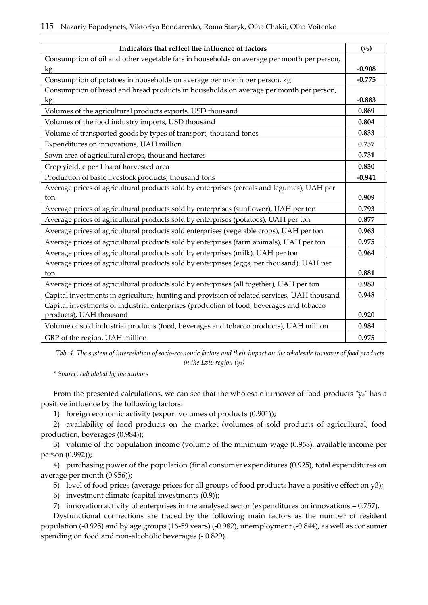| Indicators that reflect the influence of factors                                            | $(y_3)$  |
|---------------------------------------------------------------------------------------------|----------|
| Consumption of oil and other vegetable fats in households on average per month per person,  |          |
| kg                                                                                          | $-0.908$ |
| Consumption of potatoes in households on average per month per person, kg                   | $-0.775$ |
| Consumption of bread and bread products in households on average per month per person,      |          |
| kg                                                                                          | $-0.883$ |
| Volumes of the agricultural products exports, USD thousand                                  | 0.869    |
| Volumes of the food industry imports, USD thousand                                          | 0.804    |
| Volume of transported goods by types of transport, thousand tones                           | 0.833    |
| Expenditures on innovations, UAH million                                                    | 0.757    |
| Sown area of agricultural crops, thousand hectares                                          | 0.731    |
| Crop yield, c per 1 ha of harvested area                                                    | 0.850    |
| Production of basic livestock products, thousand tons                                       | $-0.941$ |
| Average prices of agricultural products sold by enterprises (cereals and legumes), UAH per  |          |
| ton                                                                                         | 0.909    |
| Average prices of agricultural products sold by enterprises (sunflower), UAH per ton        | 0.793    |
| Average prices of agricultural products sold by enterprises (potatoes), UAH per ton         | 0.877    |
| Average prices of agricultural products sold enterprises (vegetable crops), UAH per ton     | 0.963    |
| Average prices of agricultural products sold by enterprises (farm animals), UAH per ton     | 0.975    |
| Average prices of agricultural products sold by enterprises (milk), UAH per ton             | 0.964    |
| Average prices of agricultural products sold by enterprises (eggs, per thousand), UAH per   |          |
| ton                                                                                         | 0.881    |
| Average prices of agricultural products sold by enterprises (all together), UAH per ton     | 0.983    |
| Capital investments in agriculture, hunting and provision of related services, UAH thousand | 0.948    |
| Capital investments of industrial enterprises (production of food, beverages and tobacco    |          |
| products), UAH thousand                                                                     | 0.920    |
| Volume of sold industrial products (food, beverages and tobacco products), UAH million      | 0.984    |
| GRP of the region, UAH million                                                              | 0.975    |

*Tab. 4. The system of interrelation of socio-economic factors and their impact on the wholesale turnover of food products in the Lviv region (y3)*

*\* Source: calculated by the authors*

From the presented calculations, we can see that the wholesale turnover of food products "y3" has a positive influence by the following factors:

1) foreign economic activity (export volumes of products (0.901));

2) availability of food products on the market (volumes of sold products of agricultural, food production, beverages (0.984));

3) volume of the population income (volume of the minimum wage (0.968), available income per person (0.992));

4) purchasing power of the population (final consumer expenditures (0.925), total expenditures on average per month (0.956));

5) level of food prices (average prices for all groups of food products have a positive effect on y3);

6) investment climate (capital investments (0.9));

7) innovation activity of enterprises in the analysed sector (expenditures on innovations – 0.757).

Dysfunctional connections are traced by the following main factors as the number of resident population (-0.925) and by age groups (16-59 years) (-0.982), unemployment (-0.844), as well as consumer spending on food and non-alcoholic beverages (- 0.829).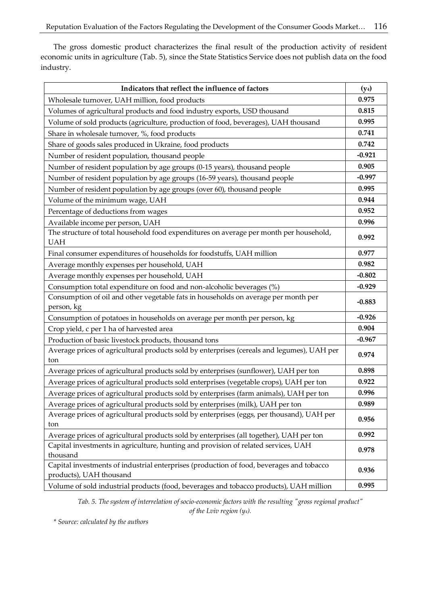The gross domestic product characterizes the final result of the production activity of resident economic units in agriculture (Tab. 5), since the State Statistics Service does not publish data on the food industry.

| 0.975<br>Wholesale turnover, UAH million, food products<br>0.815<br>Volumes of agricultural products and food industry exports, USD thousand<br>Volume of sold products (agriculture, production of food, beverages), UAH thousand<br>0.995<br>0.741<br>Share in wholesale turnover, %, food products<br>Share of goods sales produced in Ukraine, food products<br>0.742<br>$-0.921$<br>Number of resident population, thousand people<br>0.905<br>Number of resident population by age groups (0-15 years), thousand people<br>$-0.997$<br>Number of resident population by age groups (16-59 years), thousand people<br>0.995<br>Number of resident population by age groups (over 60), thousand people<br>Volume of the minimum wage, UAH<br>0.944<br>0.952<br>Percentage of deductions from wages<br>0.996<br>Available income per person, UAH<br>The structure of total household food expenditures on average per month per household,<br>0.992<br><b>UAH</b><br>0.977<br>Final consumer expenditures of households for foodstuffs, UAH million<br>0.982<br>Average monthly expenses per household, UAH<br>$-0.802$<br>Average monthly expenses per household, UAH<br>$-0.929$<br>Consumption total expenditure on food and non-alcoholic beverages (%)<br>Consumption of oil and other vegetable fats in households on average per month per<br>$-0.883$<br>person, kg<br>$-0.926$<br>Consumption of potatoes in households on average per month per person, kg<br>0.904<br>Crop yield, c per 1 ha of harvested area<br>$-0.967$<br>Production of basic livestock products, thousand tons<br>Average prices of agricultural products sold by enterprises (cereals and legumes), UAH per<br>0.974<br>ton<br>Average prices of agricultural products sold by enterprises (sunflower), UAH per ton<br>0.898<br>Average prices of agricultural products sold enterprises (vegetable crops), UAH per ton<br>0.922<br>0.996<br>Average prices of agricultural products sold by enterprises (farm animals), UAH per ton<br>0.989<br>Average prices of agricultural products sold by enterprises (milk), UAH per ton<br>Average prices of agricultural products sold by enterprises (eggs, per thousand), UAH per<br>0.956<br>ton<br>0.992<br>Average prices of agricultural products sold by enterprises (all together), UAH per ton<br>Capital investments in agriculture, hunting and provision of related services, UAH<br>0.978<br>thousand<br>Capital investments of industrial enterprises (production of food, beverages and tobacco<br>0.936<br>products), UAH thousand | Indicators that reflect the influence of factors                                       | $(y_4)$ |
|----------------------------------------------------------------------------------------------------------------------------------------------------------------------------------------------------------------------------------------------------------------------------------------------------------------------------------------------------------------------------------------------------------------------------------------------------------------------------------------------------------------------------------------------------------------------------------------------------------------------------------------------------------------------------------------------------------------------------------------------------------------------------------------------------------------------------------------------------------------------------------------------------------------------------------------------------------------------------------------------------------------------------------------------------------------------------------------------------------------------------------------------------------------------------------------------------------------------------------------------------------------------------------------------------------------------------------------------------------------------------------------------------------------------------------------------------------------------------------------------------------------------------------------------------------------------------------------------------------------------------------------------------------------------------------------------------------------------------------------------------------------------------------------------------------------------------------------------------------------------------------------------------------------------------------------------------------------------------------------------------------------------------------------------------------------------------------------------------------------------------------------------------------------------------------------------------------------------------------------------------------------------------------------------------------------------------------------------------------------------------------------------------------------------------------------------------------------------------------------------------------------------------------------------------------------------------------|----------------------------------------------------------------------------------------|---------|
|                                                                                                                                                                                                                                                                                                                                                                                                                                                                                                                                                                                                                                                                                                                                                                                                                                                                                                                                                                                                                                                                                                                                                                                                                                                                                                                                                                                                                                                                                                                                                                                                                                                                                                                                                                                                                                                                                                                                                                                                                                                                                                                                                                                                                                                                                                                                                                                                                                                                                                                                                                                  |                                                                                        |         |
|                                                                                                                                                                                                                                                                                                                                                                                                                                                                                                                                                                                                                                                                                                                                                                                                                                                                                                                                                                                                                                                                                                                                                                                                                                                                                                                                                                                                                                                                                                                                                                                                                                                                                                                                                                                                                                                                                                                                                                                                                                                                                                                                                                                                                                                                                                                                                                                                                                                                                                                                                                                  |                                                                                        |         |
|                                                                                                                                                                                                                                                                                                                                                                                                                                                                                                                                                                                                                                                                                                                                                                                                                                                                                                                                                                                                                                                                                                                                                                                                                                                                                                                                                                                                                                                                                                                                                                                                                                                                                                                                                                                                                                                                                                                                                                                                                                                                                                                                                                                                                                                                                                                                                                                                                                                                                                                                                                                  |                                                                                        |         |
|                                                                                                                                                                                                                                                                                                                                                                                                                                                                                                                                                                                                                                                                                                                                                                                                                                                                                                                                                                                                                                                                                                                                                                                                                                                                                                                                                                                                                                                                                                                                                                                                                                                                                                                                                                                                                                                                                                                                                                                                                                                                                                                                                                                                                                                                                                                                                                                                                                                                                                                                                                                  |                                                                                        |         |
|                                                                                                                                                                                                                                                                                                                                                                                                                                                                                                                                                                                                                                                                                                                                                                                                                                                                                                                                                                                                                                                                                                                                                                                                                                                                                                                                                                                                                                                                                                                                                                                                                                                                                                                                                                                                                                                                                                                                                                                                                                                                                                                                                                                                                                                                                                                                                                                                                                                                                                                                                                                  |                                                                                        |         |
|                                                                                                                                                                                                                                                                                                                                                                                                                                                                                                                                                                                                                                                                                                                                                                                                                                                                                                                                                                                                                                                                                                                                                                                                                                                                                                                                                                                                                                                                                                                                                                                                                                                                                                                                                                                                                                                                                                                                                                                                                                                                                                                                                                                                                                                                                                                                                                                                                                                                                                                                                                                  |                                                                                        |         |
|                                                                                                                                                                                                                                                                                                                                                                                                                                                                                                                                                                                                                                                                                                                                                                                                                                                                                                                                                                                                                                                                                                                                                                                                                                                                                                                                                                                                                                                                                                                                                                                                                                                                                                                                                                                                                                                                                                                                                                                                                                                                                                                                                                                                                                                                                                                                                                                                                                                                                                                                                                                  |                                                                                        |         |
|                                                                                                                                                                                                                                                                                                                                                                                                                                                                                                                                                                                                                                                                                                                                                                                                                                                                                                                                                                                                                                                                                                                                                                                                                                                                                                                                                                                                                                                                                                                                                                                                                                                                                                                                                                                                                                                                                                                                                                                                                                                                                                                                                                                                                                                                                                                                                                                                                                                                                                                                                                                  |                                                                                        |         |
|                                                                                                                                                                                                                                                                                                                                                                                                                                                                                                                                                                                                                                                                                                                                                                                                                                                                                                                                                                                                                                                                                                                                                                                                                                                                                                                                                                                                                                                                                                                                                                                                                                                                                                                                                                                                                                                                                                                                                                                                                                                                                                                                                                                                                                                                                                                                                                                                                                                                                                                                                                                  |                                                                                        |         |
|                                                                                                                                                                                                                                                                                                                                                                                                                                                                                                                                                                                                                                                                                                                                                                                                                                                                                                                                                                                                                                                                                                                                                                                                                                                                                                                                                                                                                                                                                                                                                                                                                                                                                                                                                                                                                                                                                                                                                                                                                                                                                                                                                                                                                                                                                                                                                                                                                                                                                                                                                                                  |                                                                                        |         |
|                                                                                                                                                                                                                                                                                                                                                                                                                                                                                                                                                                                                                                                                                                                                                                                                                                                                                                                                                                                                                                                                                                                                                                                                                                                                                                                                                                                                                                                                                                                                                                                                                                                                                                                                                                                                                                                                                                                                                                                                                                                                                                                                                                                                                                                                                                                                                                                                                                                                                                                                                                                  |                                                                                        |         |
|                                                                                                                                                                                                                                                                                                                                                                                                                                                                                                                                                                                                                                                                                                                                                                                                                                                                                                                                                                                                                                                                                                                                                                                                                                                                                                                                                                                                                                                                                                                                                                                                                                                                                                                                                                                                                                                                                                                                                                                                                                                                                                                                                                                                                                                                                                                                                                                                                                                                                                                                                                                  |                                                                                        |         |
|                                                                                                                                                                                                                                                                                                                                                                                                                                                                                                                                                                                                                                                                                                                                                                                                                                                                                                                                                                                                                                                                                                                                                                                                                                                                                                                                                                                                                                                                                                                                                                                                                                                                                                                                                                                                                                                                                                                                                                                                                                                                                                                                                                                                                                                                                                                                                                                                                                                                                                                                                                                  |                                                                                        |         |
|                                                                                                                                                                                                                                                                                                                                                                                                                                                                                                                                                                                                                                                                                                                                                                                                                                                                                                                                                                                                                                                                                                                                                                                                                                                                                                                                                                                                                                                                                                                                                                                                                                                                                                                                                                                                                                                                                                                                                                                                                                                                                                                                                                                                                                                                                                                                                                                                                                                                                                                                                                                  |                                                                                        |         |
|                                                                                                                                                                                                                                                                                                                                                                                                                                                                                                                                                                                                                                                                                                                                                                                                                                                                                                                                                                                                                                                                                                                                                                                                                                                                                                                                                                                                                                                                                                                                                                                                                                                                                                                                                                                                                                                                                                                                                                                                                                                                                                                                                                                                                                                                                                                                                                                                                                                                                                                                                                                  |                                                                                        |         |
|                                                                                                                                                                                                                                                                                                                                                                                                                                                                                                                                                                                                                                                                                                                                                                                                                                                                                                                                                                                                                                                                                                                                                                                                                                                                                                                                                                                                                                                                                                                                                                                                                                                                                                                                                                                                                                                                                                                                                                                                                                                                                                                                                                                                                                                                                                                                                                                                                                                                                                                                                                                  |                                                                                        |         |
|                                                                                                                                                                                                                                                                                                                                                                                                                                                                                                                                                                                                                                                                                                                                                                                                                                                                                                                                                                                                                                                                                                                                                                                                                                                                                                                                                                                                                                                                                                                                                                                                                                                                                                                                                                                                                                                                                                                                                                                                                                                                                                                                                                                                                                                                                                                                                                                                                                                                                                                                                                                  |                                                                                        |         |
|                                                                                                                                                                                                                                                                                                                                                                                                                                                                                                                                                                                                                                                                                                                                                                                                                                                                                                                                                                                                                                                                                                                                                                                                                                                                                                                                                                                                                                                                                                                                                                                                                                                                                                                                                                                                                                                                                                                                                                                                                                                                                                                                                                                                                                                                                                                                                                                                                                                                                                                                                                                  |                                                                                        |         |
|                                                                                                                                                                                                                                                                                                                                                                                                                                                                                                                                                                                                                                                                                                                                                                                                                                                                                                                                                                                                                                                                                                                                                                                                                                                                                                                                                                                                                                                                                                                                                                                                                                                                                                                                                                                                                                                                                                                                                                                                                                                                                                                                                                                                                                                                                                                                                                                                                                                                                                                                                                                  |                                                                                        |         |
|                                                                                                                                                                                                                                                                                                                                                                                                                                                                                                                                                                                                                                                                                                                                                                                                                                                                                                                                                                                                                                                                                                                                                                                                                                                                                                                                                                                                                                                                                                                                                                                                                                                                                                                                                                                                                                                                                                                                                                                                                                                                                                                                                                                                                                                                                                                                                                                                                                                                                                                                                                                  |                                                                                        |         |
|                                                                                                                                                                                                                                                                                                                                                                                                                                                                                                                                                                                                                                                                                                                                                                                                                                                                                                                                                                                                                                                                                                                                                                                                                                                                                                                                                                                                                                                                                                                                                                                                                                                                                                                                                                                                                                                                                                                                                                                                                                                                                                                                                                                                                                                                                                                                                                                                                                                                                                                                                                                  |                                                                                        |         |
|                                                                                                                                                                                                                                                                                                                                                                                                                                                                                                                                                                                                                                                                                                                                                                                                                                                                                                                                                                                                                                                                                                                                                                                                                                                                                                                                                                                                                                                                                                                                                                                                                                                                                                                                                                                                                                                                                                                                                                                                                                                                                                                                                                                                                                                                                                                                                                                                                                                                                                                                                                                  |                                                                                        |         |
|                                                                                                                                                                                                                                                                                                                                                                                                                                                                                                                                                                                                                                                                                                                                                                                                                                                                                                                                                                                                                                                                                                                                                                                                                                                                                                                                                                                                                                                                                                                                                                                                                                                                                                                                                                                                                                                                                                                                                                                                                                                                                                                                                                                                                                                                                                                                                                                                                                                                                                                                                                                  |                                                                                        |         |
|                                                                                                                                                                                                                                                                                                                                                                                                                                                                                                                                                                                                                                                                                                                                                                                                                                                                                                                                                                                                                                                                                                                                                                                                                                                                                                                                                                                                                                                                                                                                                                                                                                                                                                                                                                                                                                                                                                                                                                                                                                                                                                                                                                                                                                                                                                                                                                                                                                                                                                                                                                                  |                                                                                        |         |
|                                                                                                                                                                                                                                                                                                                                                                                                                                                                                                                                                                                                                                                                                                                                                                                                                                                                                                                                                                                                                                                                                                                                                                                                                                                                                                                                                                                                                                                                                                                                                                                                                                                                                                                                                                                                                                                                                                                                                                                                                                                                                                                                                                                                                                                                                                                                                                                                                                                                                                                                                                                  |                                                                                        |         |
|                                                                                                                                                                                                                                                                                                                                                                                                                                                                                                                                                                                                                                                                                                                                                                                                                                                                                                                                                                                                                                                                                                                                                                                                                                                                                                                                                                                                                                                                                                                                                                                                                                                                                                                                                                                                                                                                                                                                                                                                                                                                                                                                                                                                                                                                                                                                                                                                                                                                                                                                                                                  |                                                                                        |         |
|                                                                                                                                                                                                                                                                                                                                                                                                                                                                                                                                                                                                                                                                                                                                                                                                                                                                                                                                                                                                                                                                                                                                                                                                                                                                                                                                                                                                                                                                                                                                                                                                                                                                                                                                                                                                                                                                                                                                                                                                                                                                                                                                                                                                                                                                                                                                                                                                                                                                                                                                                                                  |                                                                                        |         |
|                                                                                                                                                                                                                                                                                                                                                                                                                                                                                                                                                                                                                                                                                                                                                                                                                                                                                                                                                                                                                                                                                                                                                                                                                                                                                                                                                                                                                                                                                                                                                                                                                                                                                                                                                                                                                                                                                                                                                                                                                                                                                                                                                                                                                                                                                                                                                                                                                                                                                                                                                                                  |                                                                                        |         |
|                                                                                                                                                                                                                                                                                                                                                                                                                                                                                                                                                                                                                                                                                                                                                                                                                                                                                                                                                                                                                                                                                                                                                                                                                                                                                                                                                                                                                                                                                                                                                                                                                                                                                                                                                                                                                                                                                                                                                                                                                                                                                                                                                                                                                                                                                                                                                                                                                                                                                                                                                                                  |                                                                                        |         |
|                                                                                                                                                                                                                                                                                                                                                                                                                                                                                                                                                                                                                                                                                                                                                                                                                                                                                                                                                                                                                                                                                                                                                                                                                                                                                                                                                                                                                                                                                                                                                                                                                                                                                                                                                                                                                                                                                                                                                                                                                                                                                                                                                                                                                                                                                                                                                                                                                                                                                                                                                                                  |                                                                                        |         |
|                                                                                                                                                                                                                                                                                                                                                                                                                                                                                                                                                                                                                                                                                                                                                                                                                                                                                                                                                                                                                                                                                                                                                                                                                                                                                                                                                                                                                                                                                                                                                                                                                                                                                                                                                                                                                                                                                                                                                                                                                                                                                                                                                                                                                                                                                                                                                                                                                                                                                                                                                                                  |                                                                                        |         |
|                                                                                                                                                                                                                                                                                                                                                                                                                                                                                                                                                                                                                                                                                                                                                                                                                                                                                                                                                                                                                                                                                                                                                                                                                                                                                                                                                                                                                                                                                                                                                                                                                                                                                                                                                                                                                                                                                                                                                                                                                                                                                                                                                                                                                                                                                                                                                                                                                                                                                                                                                                                  |                                                                                        |         |
|                                                                                                                                                                                                                                                                                                                                                                                                                                                                                                                                                                                                                                                                                                                                                                                                                                                                                                                                                                                                                                                                                                                                                                                                                                                                                                                                                                                                                                                                                                                                                                                                                                                                                                                                                                                                                                                                                                                                                                                                                                                                                                                                                                                                                                                                                                                                                                                                                                                                                                                                                                                  | Volume of sold industrial products (food, beverages and tobacco products), UAH million | 0.995   |

*Tab. 5. The system of interrelation of socio-economic factors with the resulting "gross regional product" of the Lviv region (y4).*

*\* Source: calculated by the authors*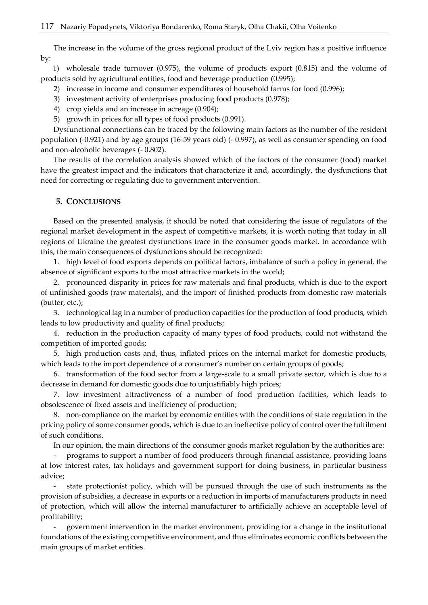The increase in the volume of the gross regional product of the Lviv region has a positive influence by:

1) wholesale trade turnover (0.975), the volume of products export (0.815) and the volume of products sold by agricultural entities, food and beverage production (0.995);

- 2) increase in income and consumer expenditures of household farms for food (0.996);
- 3) investment activity of enterprises producing food products (0.978);
- 4) crop yields and an increase in acreage (0.904);
- 5) growth in prices for all types of food products (0.991).

Dysfunctional connections can be traced by the following main factors as the number of the resident population (-0.921) and by age groups (16-59 years old) (- 0.997), as well as consumer spending on food and non-alcoholic beverages (- 0.802).

The results of the correlation analysis showed which of the factors of the consumer (food) market have the greatest impact and the indicators that characterize it and, accordingly, the dysfunctions that need for correcting or regulating due to government intervention.

### **5. CONCLUSIONS**

Based on the presented analysis, it should be noted that considering the issue of regulators of the regional market development in the aspect of competitive markets, it is worth noting that today in all regions of Ukraine the greatest dysfunctions trace in the consumer goods market. In accordance with this, the main consequences of dysfunctions should be recognized:

1. high level of food exports depends on political factors, imbalance of such a policy in general, the absence of significant exports to the most attractive markets in the world;

2. pronounced disparity in prices for raw materials and final products, which is due to the export of unfinished goods (raw materials), and the import of finished products from domestic raw materials (butter, etc.);

3. technological lag in a number of production capacities for the production of food products, which leads to low productivity and quality of final products;

4. reduction in the production capacity of many types of food products, could not withstand the competition of imported goods;

5. high production costs and, thus, inflated prices on the internal market for domestic products, which leads to the import dependence of a consumer's number on certain groups of goods;

6. transformation of the food sector from a large-scale to a small private sector, which is due to a decrease in demand for domestic goods due to unjustifiably high prices;

7. low investment attractiveness of a number of food production facilities, which leads to obsolescence of fixed assets and inefficiency of production;

8. non-compliance on the market by economic entities with the conditions of state regulation in the pricing policy of some consumer goods, which is due to an ineffective policy of control over the fulfilment of such conditions.

In our opinion, the main directions of the consumer goods market regulation by the authorities are:

- programs to support a number of food producers through financial assistance, providing loans at low interest rates, tax holidays and government support for doing business, in particular business advice;

state protectionist policy, which will be pursued through the use of such instruments as the provision of subsidies, a decrease in exports or a reduction in imports of manufacturers products in need of protection, which will allow the internal manufacturer to artificially achieve an acceptable level of profitability;

- government intervention in the market environment, providing for a change in the institutional foundations of the existing competitive environment, and thus eliminates economic conflicts between the main groups of market entities.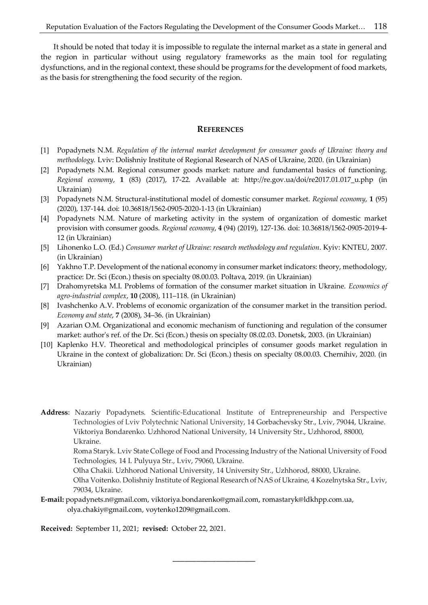It should be noted that today it is impossible to regulate the internal market as a state in general and the region in particular without using regulatory frameworks as the main tool for regulating dysfunctions, and in the regional context, these should be programs for the development of food markets, as the basis for strengthening the food security of the region.

#### **REFERENCES**

- [1] Popadynets N.M. *Regulation of the internal market development for consumer goods of Ukraine: theory and methodology.* Lviv: Dolishniy Institute of Regional Research of NAS of Ukraine, 2020. (in Ukrainian)
- [2] Popadynets N.M. Regional consumer goods market: nature and fundamental basics of functioning. *Regional economy*, **1** (83) (2017), 17-22. Available at: [http://re.gov.ua/doi/re2017.01.017\\_u.php](http://re.gov.ua/doi/re2017.01.017_u.php) (in Ukrainian)
- [3] Popadynets N.M. Structural-institutional model of domestic consumer market. *Regional economy*, **1** (95) (2020), 137-144. doi: [10.36818/1562-0905-2020-1-13](https://doi.org/10.36818/1562-0905-2020-1-13) (in Ukrainian)
- [4] Popadynets N.M. Nature of marketing activity in the system of organization of domestic market provision with consumer goods. *Regional economy*, **4** (94) (2019), 127-136. doi[: 10.36818/1562-0905-2019-4-](https://doi.org/10.36818/1562-0905-2019-4-12) [12](https://doi.org/10.36818/1562-0905-2019-4-12) (in Ukrainian)
- [5] Lihonenko L.O. (Ed.) *Consumer market of Ukraine: research methodology and regulation*. Kyiv: KNTEU, 2007. (in Ukrainian)
- [6] Yakhno T.P. Development of the national economy in consumer market indicators: theory, methodology, practice: Dr. Sci (Econ.) thesis on specialty 08.00.03. Poltava, 2019. (in Ukrainian)
- [7] Drahomyretska M.I. Problems of formation of the consumer market situation in Ukraine. *Economics of agro-industrial complex*, **10** (2008), 111–118. (in Ukrainian)
- [8] Ivashchenko A.V. Problems of economic organization of the consumer market in the transition period. *Economy and state*, **7** (2008), 34–36. (in Ukrainian)
- [9] Azarian O.M. Organizational and economic mechanism of functioning and regulation of the consumer market: author's ref. of the Dr. Sci (Econ.) thesis on specialty 08.02.03. Donetsk, 2003. (in Ukrainian)
- [10] Kaplenko H.V. Theoretical and methodological principles of consumer goods market regulation in Ukraine in the context of globalization: Dr. Sci (Econ.) thesis on specialty 08.00.03. Chernihiv, 2020. (in Ukrainian)

**Address**: Nazariy Popadynets. Scientific-Educational Institute of Entrepreneurship and Perspective Technologies of Lviv Polytechnic National University, 14 Gorbachevsky Str., Lviv, 79044, Ukraine. Viktoriya Bondarenko. Uzhhorod National University, 14 University Str., Uzhhorod, 88000, Ukraine.

Roma Staryk. Lviv State College of Food and Processing Industry of the National University of Food Technologies, 14 I. Pulyuya Str., Lviv, 79060, Ukraine.

Olha Chakii. Uzhhorod National University, 14 University Str., Uzhhorod, 88000, Ukraine.

\_\_\_\_\_\_\_\_\_\_\_\_\_\_\_\_\_\_\_\_\_

Olha Voitenko. Dolishniy Institute of Regional Research of NAS of Ukraine, 4 Kozelnytska Str., Lviv, 79034, Ukraine.

**E-mail:** popadynets.n@gmail.com, viktoriya.bondarenko@gmail.com, romastaryk@ldkhpp.com.ua, olya.chakiy@gmail.com, voytenko1209@gmail.com.

**Received:** September 11, 2021; **revised:** October 22, 2021.